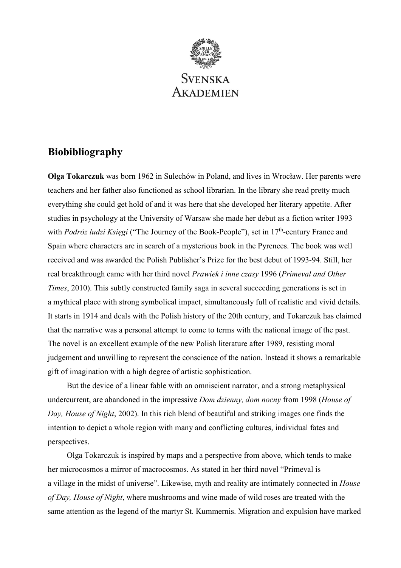

# **Biobibliography**

**Olga Tokarczuk** was born 1962 in Sulechów in Poland, and lives in Wrocław. Her parents were teachers and her father also functioned as school librarian. In the library she read pretty much everything she could get hold of and it was here that she developed her literary appetite. After studies in psychology at the University of Warsaw she made her debut as a fiction writer 1993 with *Podróz ludzi Księgi* ("The Journey of the Book-People"), set in 17<sup>th</sup>-century France and Spain where characters are in search of a mysterious book in the Pyrenees. The book was well received and was awarded the Polish Publisher's Prize for the best debut of 1993-94. Still, her real breakthrough came with her third novel *Prawiek i inne czasy* 1996 (*Primeval and Other Times*, 2010). This subtly constructed family saga in several succeeding generations is set in a mythical place with strong symbolical impact, simultaneously full of realistic and vivid details. It starts in 1914 and deals with the Polish history of the 20th century, and Tokarczuk has claimed that the narrative was a personal attempt to come to terms with the national image of the past. The novel is an excellent example of the new Polish literature after 1989, resisting moral judgement and unwilling to represent the conscience of the nation. Instead it shows a remarkable gift of imagination with a high degree of artistic sophistication.

But the device of a linear fable with an omniscient narrator, and a strong metaphysical undercurrent, are abandoned in the impressive *Dom dzienny, dom nocny* from 1998 (*House of Day, House of Night*, 2002). In this rich blend of beautiful and striking images one finds the intention to depict a whole region with many and conflicting cultures, individual fates and perspectives.

Olga Tokarczuk is inspired by maps and a perspective from above, which tends to make her microcosmos a mirror of macrocosmos. As stated in her third novel "Primeval is a village in the midst of universe". Likewise, myth and reality are intimately connected in *House of Day, House of Night*, where mushrooms and wine made of wild roses are treated with the same attention as the legend of the martyr St. Kummernis. Migration and expulsion have marked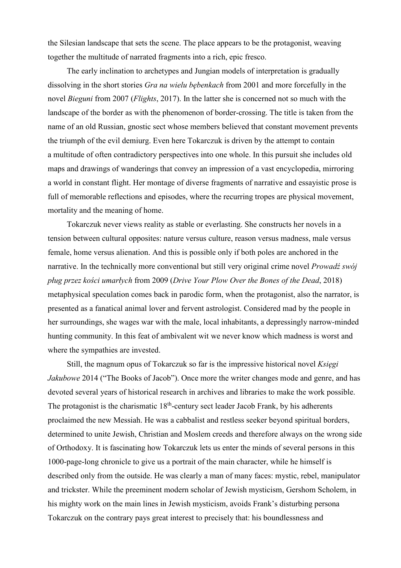the Silesian landscape that sets the scene. The place appears to be the protagonist, weaving together the multitude of narrated fragments into a rich, epic fresco.

The early inclination to archetypes and Jungian models of interpretation is gradually dissolving in the short stories *Gra na wielu bębenkach* from 2001 and more forcefully in the novel *Bieguni* from 2007 (*Flights*, 2017). In the latter she is concerned not so much with the landscape of the border as with the phenomenon of border-crossing. The title is taken from the name of an old Russian, gnostic sect whose members believed that constant movement prevents the triumph of the evil demiurg. Even here Tokarczuk is driven by the attempt to contain a multitude of often contradictory perspectives into one whole. In this pursuit she includes old maps and drawings of wanderings that convey an impression of a vast encyclopedia, mirroring a world in constant flight. Her montage of diverse fragments of narrative and essayistic prose is full of memorable reflections and episodes, where the recurring tropes are physical movement, mortality and the meaning of home.

Tokarczuk never views reality as stable or everlasting. She constructs her novels in a tension between cultural opposites: nature versus culture, reason versus madness, male versus female, home versus alienation. And this is possible only if both poles are anchored in the narrative. In the technically more conventional but still very original crime novel *Prowadź swój pług przez kości umarłych* from 2009 (*Drive Your Plow Over the Bones of the Dead*, 2018) metaphysical speculation comes back in parodic form, when the protagonist, also the narrator, is presented as a fanatical animal lover and fervent astrologist. Considered mad by the people in her surroundings, she wages war with the male, local inhabitants, a depressingly narrow-minded hunting community. In this feat of ambivalent wit we never know which madness is worst and where the sympathies are invested.

Still, the magnum opus of Tokarczuk so far is the impressive historical novel *Księgi Jakubowe* 2014 ("The Books of Jacob"). Once more the writer changes mode and genre, and has devoted several years of historical research in archives and libraries to make the work possible. The protagonist is the charismatic  $18<sup>th</sup>$ -century sect leader Jacob Frank, by his adherents proclaimed the new Messiah. He was a cabbalist and restless seeker beyond spiritual borders, determined to unite Jewish, Christian and Moslem creeds and therefore always on the wrong side of Orthodoxy. It is fascinating how Tokarczuk lets us enter the minds of several persons in this 1000-page-long chronicle to give us a portrait of the main character, while he himself is described only from the outside. He was clearly a man of many faces: mystic, rebel, manipulator and trickster. While the preeminent modern scholar of Jewish mysticism, Gershom Scholem, in his mighty work on the main lines in Jewish mysticism, avoids Frank's disturbing persona Tokarczuk on the contrary pays great interest to precisely that: his boundlessness and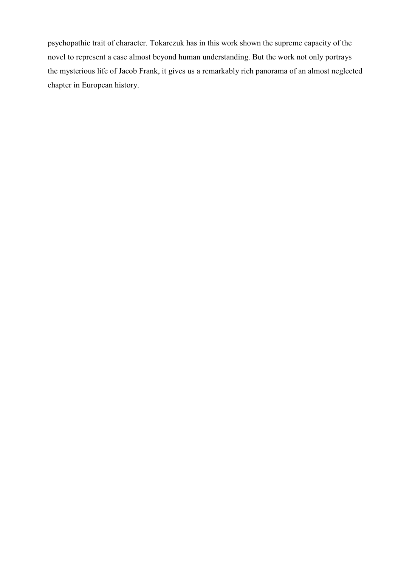psychopathic trait of character. Tokarczuk has in this work shown the supreme capacity of the novel to represent a case almost beyond human understanding. But the work not only portrays the mysterious life of Jacob Frank, it gives us a remarkably rich panorama of an almost neglected chapter in European history.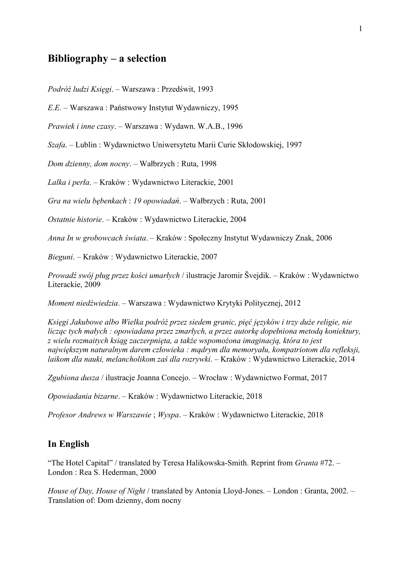## **Bibliography – a selection**

*Podróż ludzi Księgi*. – Warszawa : Przedświt, 1993

*E.E.* – Warszawa : Państwowy Instytut Wydawniczy, 1995

*Prawiek i inne czasy*. – Warszawa : Wydawn. W.A.B., 1996

*Szafa*. – Lublin : Wydawnictwo Uniwersytetu Marii Curie Skłodowskiej, 1997

*Dom dzienny, dom nocny*. – Wałbrzych : Ruta, 1998

*Lalka i perła*. – Kraków : Wydawnictwo Literackie, 2001

*Gra na wielu bębenkach* : *19 opowiadań*. – Wałbrzych : Ruta, 2001

*Ostatnie historie*. – Kraków : Wydawnictwo Literackie, 2004

*Anna In w grobowcach świata*. – Kraków : Społeczny Instytut Wydawniczy Znak, 2006

*Bieguni*. – Kraków : Wydawnictwo Literackie, 2007

*Prowadź swój pług przez kości umarłych* / ilustracje Jaromir Švejdik. – Kraków : Wydawnictwo Literackie, 2009

*Moment niedźwiedzia*. – Warszawa : Wydawnictwo Krytyki Politycznej, 2012

*Księgi Jakubowe albo Wielka podróż przez siedem granic, pięć języków i trzy duże religie, nie licząc tych małych : opowiadana przez zmarłych, a przez autorkę dopełniona metodą koniektury, z wielu rozmaitych ksiąg zaczerpnięta, a także wspomożona imaginacją, która to jest największym naturalnym darem człowieka : mądrym dla memoryału, kompatriotom dla refleksji, laikom dla nauki, melancholikom zaś dla rozrywki*. – Kraków : Wydawnictwo Literackie, 2014

*Zgubiona dusza* / ilustracje Joanna Concejo. – Wrocław : Wydawnictwo Format, 2017

*Opowiadania bizarne*. – Kraków : Wydawnictwo Literackie, 2018

*Profesor Andrews w Warszawie* ; *Wyspa*. – Kraków : Wydawnictwo Literackie, 2018

#### **In English**

"The Hotel Capital" / translated by Teresa Halikowska-Smith. Reprint from *Granta* #72. – London : Rea S. Hederman, 2000

*House of Day, House of Night* / translated by Antonia Lloyd-Jones. – London : Granta, 2002. – Translation of: Dom dzienny, dom nocny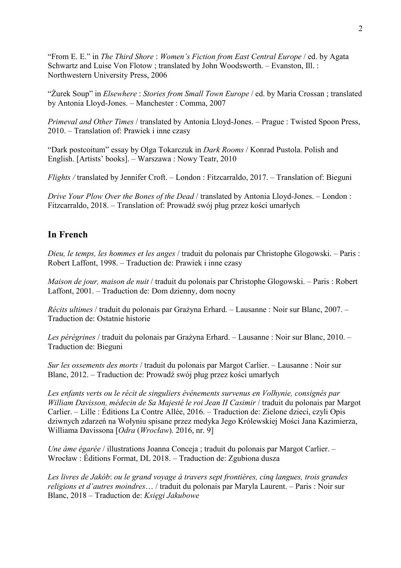"From E. E." in *The Third Shore* : *Women's Fiction from East Central Europe* / ed. by Agata Schwartz and Luise Von Flotow ; translated by John Woodsworth. – Evanston, Ill. : Northwestern University Press, 2006

"Żurek Soup" in *Elsewhere* : *Stories from Small Town Europe* / ed. by Maria Crossan ; translated by Antonia Lloyd-Jones. – Manchester : Comma, 2007

*Primeval and Other Times* / translated by Antonia Lloyd-Jones. – Prague : Twisted Spoon Press, 2010. – Translation of: Prawiek i inne czasy

"Dark postcoitum" essay by Olga Tokarczuk in *Dark Rooms* / Konrad Pustola. Polish and English. [Artists' books]. – Warszawa : Nowy Teatr, 2010

*Flights /* translated by Jennifer Croft. – London : Fitzcarraldo, 2017. – Translation of: Bieguni

*Drive Your Plow Over the Bones of the Dead* / translated by Antonia Lloyd-Jones. – London : Fitzcarraldo, 2018. – Translation of: Prowadź swój pług przez kości umarłych

### **In French**

*Dieu, le temps, les hommes et les anges* / traduit du polonais par Christophe Glogowski. – Paris : Robert Laffont, 1998. – Traduction de: Prawiek i inne czasy

*Maison de jour, maison de nuit / traduit du polonais par Christophe Glogowski. – Paris : Robert* Laffont, 2001. – Traduction de: Dom dzienny, dom nocny

*Récits ultimes* / traduit du polonais par Grażyna Erhard. – Lausanne : Noir sur Blanc, 2007. – Traduction de: Ostatnie historie

*Les pérégrines* / traduit du polonais par Grażyna Erhard. – Lausanne : Noir sur Blanc, 2010. – Traduction de: Bieguni

*Sur les ossements des morts* / traduit du polonais par Margot Carlier. – Lausanne : Noir sur Blanc, 2012. – Traduction de: Prowadź swój pług przez kości umarłych

*Les enfants verts ou le récit de singuliers événements survenus en Volhynie, consignés par William Davisson, médecin de Sa Majesté le roi Jean II Casimir* / traduit du polonais par Margot Carlier. – Lille : Éditions La Contre Allée, 2016. – Traduction de: Zielone dzieci, czyli Opis dziwnych zdarzeń na Wołyniu spisane przez medyka Jego Królewskiej Mości Jana Kazimierza, Williama Davissona [*Odra* (*Wrocław*)*.* 2016, nr. 9]

*Une âme égarée* / illustrations Joanna Conceja ; traduit du polonais par Margot Carlier. – Wrocław : Éditions Format, DL 2018. – Traduction de: Zgubiona dusza

*Les livres de Jakób*: *ou le grand voyage à travers sept frontières, cinq langues, trois grandes religions et d'autres moindres*… / traduit du polonais par Maryla Laurent. – Paris : Noir sur Blanc, 2018 – Traduction de: *Księgi Jakubowe*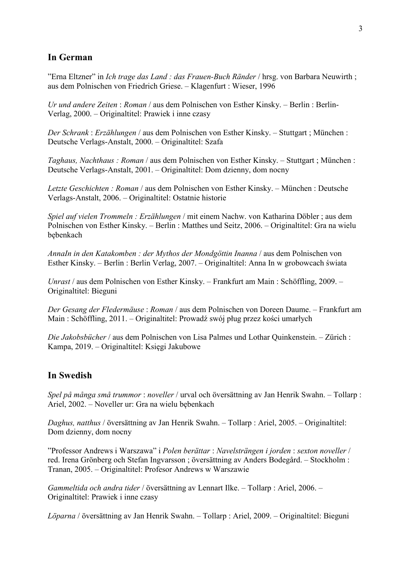### **In German**

"Erna Eltzner" in *Ich trage das Land : das Frauen-Buch Ränder* / hrsg. von Barbara Neuwirth ; aus dem Polnischen von Friedrich Griese. – Klagenfurt : Wieser, 1996

*Ur und andere Zeiten* : *Roman* / aus dem Polnischen von Esther Kinsky. – Berlin : Berlin-Verlag, 2000. – Originaltitel: Prawiek i inne czasy

*Der Schrank* : *Erzählungen* / aus dem Polnischen von Esther Kinsky. – Stuttgart ; München : Deutsche Verlags-Anstalt, 2000. – Originaltitel: Szafa

*Taghaus, Nachthaus : Roman* / aus dem Polnischen von Esther Kinsky. – Stuttgart ; München : Deutsche Verlags-Anstalt, 2001. – Originaltitel: Dom dzienny, dom nocny

*Letzte Geschichten : Roman* / aus dem Polnischen von Esther Kinsky. – München : Deutsche Verlags-Anstalt, 2006. – Originaltitel: Ostatnie historie

*Spiel auf vielen Trommeln : Erzählungen* / mit einem Nachw. von Katharina Döbler ; aus dem Polnischen von Esther Kinsky. – Berlin : Matthes und Seitz, 2006. – Originaltitel: Gra na wielu bębenkach

*AnnaIn in den Katakomben : der Mythos der Mondgöttin Inanna* / aus dem Polnischen von Esther Kinsky. – Berlin : Berlin Verlag, 2007. – Originaltitel: Anna In w grobowcach świata

*Unrast* / aus dem Polnischen von Esther Kinsky. – Frankfurt am Main : Schöffling, 2009. – Originaltitel: Bieguni

*Der Gesang der Fledermäuse* : *Roman* / aus dem Polnischen von Doreen Daume. – Frankfurt am Main : Schöffling, 2011. – Originaltitel: Prowadź swój pług przez kości umarłych

*Die Jakobsbücher* / aus dem Polnischen von Lisa Palmes und Lothar Quinkenstein. – Zürich : Kampa, 2019. – Originaltitel: Księgi Jakubowe

### **In Swedish**

*Spel på många små trummor* : *noveller* / urval och översättning av Jan Henrik Swahn. – Tollarp : Ariel, 2002. – Noveller ur: Gra na wielu bębenkach

*Daghus, natthus* / översättning av Jan Henrik Swahn. – Tollarp : Ariel, 2005. – Originaltitel: Dom dzienny, dom nocny

"Professor Andrews i Warszawa" i *Polen berättar* : *Navelsträngen i jorden* : *sexton noveller* / red. Irena Grönberg och Stefan Ingvarsson ; översättning av Anders Bodegård. – Stockholm : Tranan, 2005. – Originaltitel: Profesor Andrews w Warszawie

*Gammeltida och andra tider* / översättning av Lennart Ilke. – Tollarp : Ariel, 2006. – Originaltitel: Prawiek i inne czasy

*Löparna* / översättning av Jan Henrik Swahn. – Tollarp : Ariel, 2009. – Originaltitel: Bieguni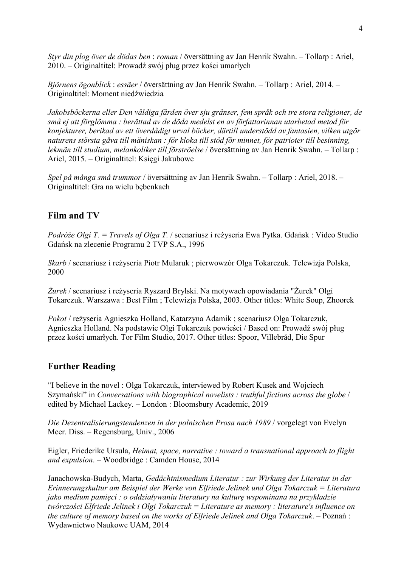*Styr din plog över de dödas ben* : *roman* / översättning av Jan Henrik Swahn. – Tollarp : Ariel, 2010. – Originaltitel: Prowadź swój pług przez kości umarłych

*Björnens ögonblick* : *essäer* / översättning av Jan Henrik Swahn. – Tollarp : Ariel, 2014. – Originaltitel: Moment niedźwiedzia

*Jakobsböckerna eller Den väldiga färden över sju gränser, fem språk och tre stora religioner, de små ej att förglömma : berättad av de döda medelst en av författarinnan utarbetad metod för konjekturer, berikad av ett överdådigt urval böcker, därtill understödd av fantasien, vilken utgör naturens största gåva till mäniskan : för kloka till stöd för minnet, för patrioter till besinning, lekmän till studium, melankoliker till förströelse* / översättning av Jan Henrik Swahn. – Tollarp : Ariel, 2015. – Originaltitel: Księgi Jakubowe

*Spel på många små trummor* / översättning av Jan Henrik Swahn. – Tollarp : Ariel, 2018. – Originaltitel: Gra na wielu bębenkach

#### **Film and TV**

*Podróże Olgi T. = Travels of Olga T.* / scenariusz i reżyseria Ewa Pytka. Gdańsk : Video Studio Gdańsk na zlecenie Programu 2 TVP S.A., 1996

*Skarb* / scenariusz i reżyseria Piotr Mularuk ; pierwowzór Olga Tokarczuk. Telewizja Polska, 2000

*Żurek* / scenariusz i reżyseria Ryszard Brylski. Na motywach opowiadania "Żurek" Olgi Tokarczuk. Warszawa : Best Film ; Telewizja Polska, 2003. Other titles: White Soup, Zhoorek

*Pokot* / reżyseria Agnieszka Holland, Katarzyna Adamik ; scenariusz Olga Tokarczuk, Agnieszka Holland. Na podstawie Olgi Tokarczuk powieści / Based on: Prowadź swój pług przez kości umarłych. Tor Film Studio, 2017. Other titles: Spoor, Villebråd, Die Spur

#### **Further Reading**

"I believe in the novel : Olga Tokarczuk, interviewed by Robert Kusek and Wojciech Szymański" in *Conversations with biographical novelists : truthful fictions across the globe* / edited by Michael Lackey. – London : Bloomsbury Academic, 2019

*Die Dezentralisierungstendenzen in der polnischen Prosa nach 1989* / vorgelegt von Evelyn Meer. Diss. – Regensburg, Univ., 2006

Eigler, Friederike Ursula, *Heimat, space, narrative : toward a transnational approach to flight and expulsion*. – Woodbridge : Camden House, 2014

Janachowska-Budych, Marta, *Gedächtnismedium Literatur : zur Wirkung der Literatur in der Erinnerungskultur am Beispiel der Werke von Elfriede Jelinek und Olga Tokarczuk = Literatura jako medium pamięci : o oddziaływaniu literatury na kulturę wspominana na przykładzie twórczości Elfriede Jelinek i Olgi Tokarczuk = Literature as memory : literature's influence on the culture of memory based on the works of Elfriede Jelinek and Olga Tokarczuk*. – Poznań : Wydawnictwo Naukowe UAM, 2014